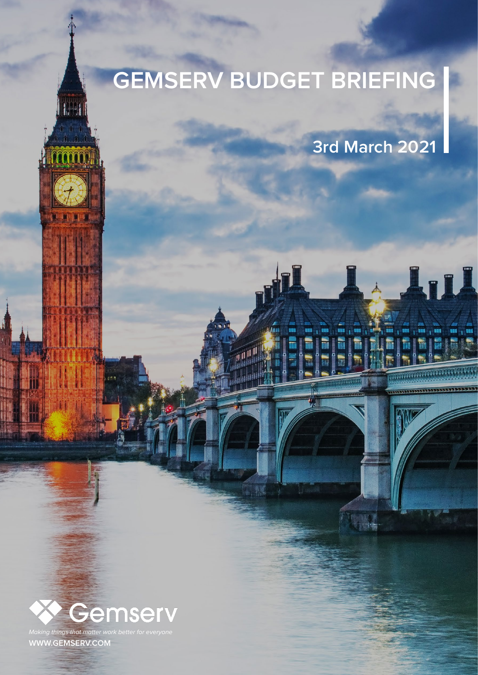# **GEMSERV BUDGET BRIEFING**

**3rd March 2021**

ul

181 <sub>|</sub> 181 |



*Making things that matter work better* **[WWW.GEMSERV.COM](http://gemserv.com)**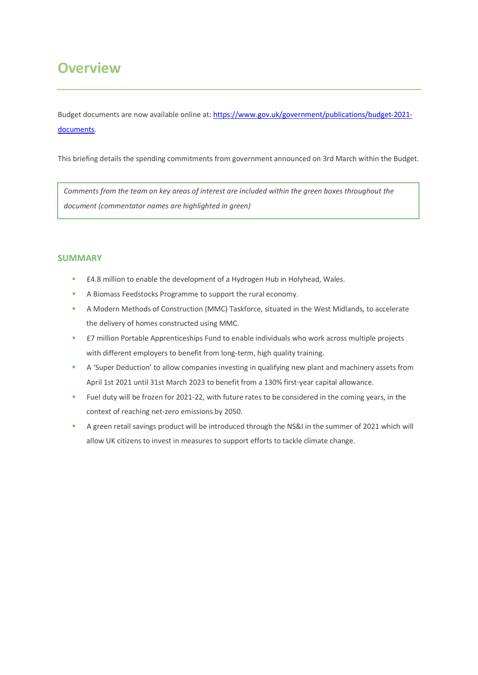### **Overview**

Budget documents are now available online at[: https://www.gov.uk/government/publications/budget-2021](https://www.gov.uk/government/publications/budget-2021-documents) [documents.](https://www.gov.uk/government/publications/budget-2021-documents)

This briefing details the spending commitments from government announced on 3rd March within the Budget.

*Comments from the team on key areas of interest are included within the green boxes throughout the document (commentator names are highlighted in green)*

#### **SUMMARY**

- £4.8 million to enable the development of a Hydrogen Hub in Holyhead, Wales.
- A Biomass Feedstocks Programme to support the rural economy.
- A Modern Methods of Construction (MMC) Taskforce, situated in the West Midlands, to accelerate the delivery of homes constructed using MMC.
- **E7** million Portable Apprenticeships Fund to enable individuals who work across multiple projects with different employers to benefit from long-term, high quality training.
- A 'Super Deduction' to allow companies investing in qualifying new plant and machinery assets from April 1st 2021 until 31st March 2023 to benefit from a 130% first-year capital allowance.
- Fuel duty will be frozen for 2021-22, with future rates to be considered in the coming years, in the context of reaching net-zero emissions by 2050.
- A green retail savings product will be introduced through the NS&I in the summer of 2021 which will allow UK citizens to invest in measures to support efforts to tackle climate change.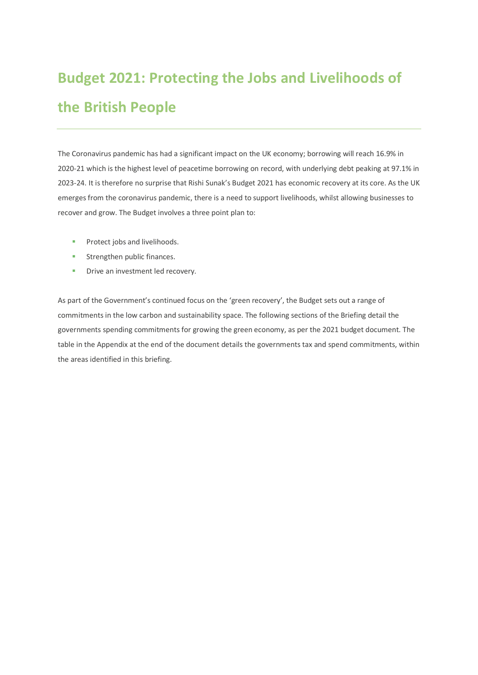## **Budget 2021: Protecting the Jobs and Livelihoods of the British People**

The Coronavirus pandemic has had a significant impact on the UK economy; borrowing will reach 16.9% in 2020-21 which is the highest level of peacetime borrowing on record, with underlying debt peaking at 97.1% in 2023-24. It is therefore no surprise that Rishi Sunak's Budget 2021 has economic recovery at its core. As the UK emerges from the coronavirus pandemic, there is a need to support livelihoods, whilst allowing businesses to recover and grow. The Budget involves a three point plan to:

- **Protect jobs and livelihoods.**
- **Strengthen public finances.**
- **•** Drive an investment led recovery.

As part of the Government's continued focus on the 'green recovery', the Budget sets out a range of commitments in the low carbon and sustainability space. The following sections of the Briefing detail the governments spending commitments for growing the green economy, as per the 2021 budget document. The table in the Appendix at the end of the document details the governments tax and spend commitments, within the areas identified in this briefing.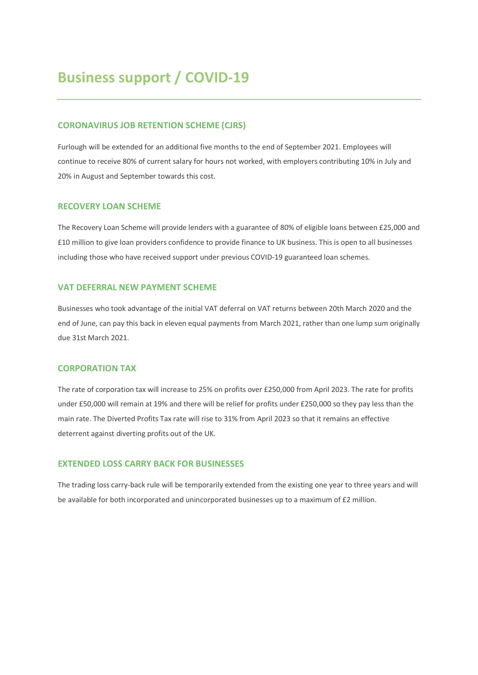### **Business support / COVID-19**

#### **CORONAVIRUS JOB RETENTION SCHEME (CJRS)**

Furlough will be extended for an additional five months to the end of September 2021. Employees will continue to receive 80% of current salary for hours not worked, with employers contributing 10% in July and 20% in August and September towards this cost.

#### **RECOVERY LOAN SCHEME**

The Recovery Loan Scheme will provide lenders with a guarantee of 80% of eligible loans between £25,000 and £10 million to give loan providers confidence to provide finance to UK business. This is open to all businesses including those who have received support under previous COVID-19 guaranteed loan schemes.

#### **VAT DEFERRAL NEW PAYMENT SCHEME**

Businesses who took advantage of the initial VAT deferral on VAT returns between 20th March 2020 and the end of June, can pay this back in eleven equal payments from March 2021, rather than one lump sum originally due 31st March 2021.

#### **CORPORATION TAX**

The rate of corporation tax will increase to 25% on profits over £250,000 from April 2023. The rate for profits under £50,000 will remain at 19% and there will be relief for profits under £250,000 so they pay less than the main rate. The Diverted Profits Tax rate will rise to 31% from April 2023 so that it remains an effective deterrent against diverting profits out of the UK.

#### **EXTENDED LOSS CARRY BACK FOR BUSINESSES**

The trading loss carry-back rule will be temporarily extended from the existing one year to three years and will be available for both incorporated and unincorporated businesses up to a maximum of £2 million.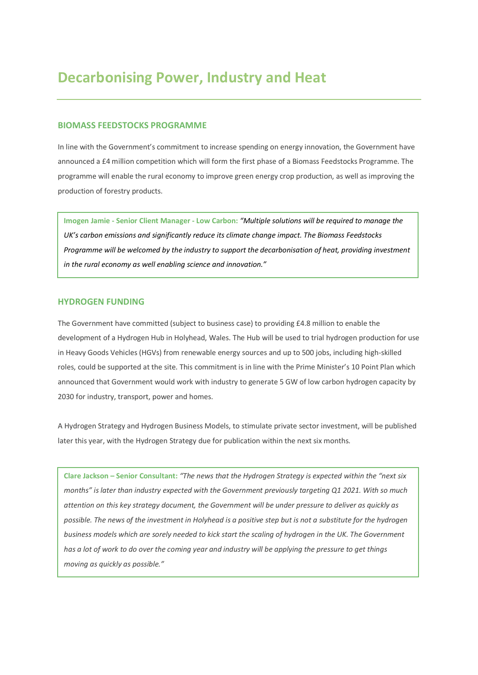#### **BIOMASS FEEDSTOCKS PROGRAMME**

In line with the Government's commitment to increase spending on energy innovation, the Government have announced a £4 million competition which will form the first phase of a Biomass Feedstocks Programme. The programme will enable the rural economy to improve green energy crop production, as well as improving the production of forestry products.

**Imogen Jamie - Senior Client Manager - Low Carbon:** *"Multiple solutions will be required to manage the UK's carbon emissions and significantly reduce its climate change impact. The Biomass Feedstocks Programme will be welcomed by the industry to support the decarbonisation of heat, providing investment in the rural economy as well enabling science and innovation."*

#### **HYDROGEN FUNDING**

The Government have committed (subject to business case) to providing £4.8 million to enable the development of a Hydrogen Hub in Holyhead, Wales. The Hub will be used to trial hydrogen production for use in Heavy Goods Vehicles (HGVs) from renewable energy sources and up to 500 jobs, including high-skilled roles, could be supported at the site. This commitment is in line with the Prime Minister's 10 Point Plan which announced that Government would work with industry to generate 5 GW of low carbon hydrogen capacity by 2030 for industry, transport, power and homes.

A Hydrogen Strategy and Hydrogen Business Models, to stimulate private sector investment, will be published later this year, with the Hydrogen Strategy due for publication within the next six months.

**Clare Jackson – Senior Consultant:** *"The news that the Hydrogen Strategy is expected within the "next six months" is later than industry expected with the Government previously targeting Q1 2021. With so much attention on this key strategy document, the Government will be under pressure to deliver as quickly as possible. The news of the investment in Holyhead is a positive step but is not a substitute for the hydrogen business models which are sorely needed to kick start the scaling of hydrogen in the UK. The Government has a lot of work to do over the coming year and industry will be applying the pressure to get things moving as quickly as possible."*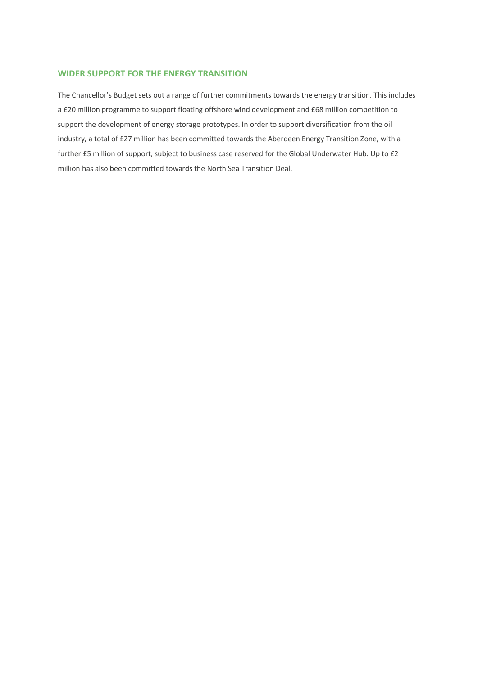#### **WIDER SUPPORT FOR THE ENERGY TRANSITION**

The Chancellor's Budget sets out a range of further commitments towards the energy transition. This includes a £20 million programme to support floating offshore wind development and £68 million competition to support the development of energy storage prototypes. In order to support diversification from the oil industry, a total of £27 million has been committed towards the Aberdeen Energy Transition Zone, with a further £5 million of support, subject to business case reserved for the Global Underwater Hub. Up to £2 million has also been committed towards the North Sea Transition Deal.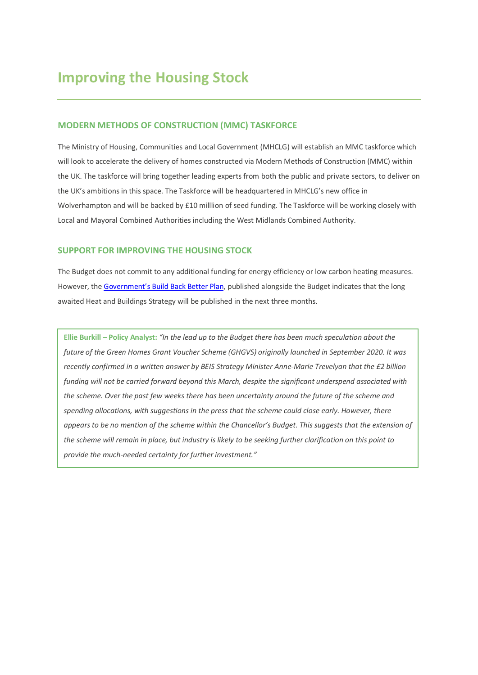#### **MODERN METHODS OF CONSTRUCTION (MMC) TASKFORCE**

The Ministry of Housing, Communities and Local Government (MHCLG) will establish an MMC taskforce which will look to accelerate the delivery of homes constructed via Modern Methods of Construction (MMC) within the UK. The taskforce will bring together leading experts from both the public and private sectors, to deliver on the UK's ambitions in this space. The Taskforce will be headquartered in MHCLG's new office in Wolverhampton and will be backed by £10 milllion of seed funding. The Taskforce will be working closely with Local and Mayoral Combined Authorities including the West Midlands Combined Authority.

#### **SUPPORT FOR IMPROVING THE HOUSING STOCK**

The Budget does not commit to any additional funding for energy efficiency or low carbon heating measures. However, th[e Government's Build Back Better Plan,](https://assets.publishing.service.gov.uk/government/uploads/system/uploads/attachment_data/file/966176/Plan_for_Growth_Web_accessible.pdf) published alongside the Budget indicates that the long awaited Heat and Buildings Strategy will be published in the next three months.

**Ellie Burkill – Policy Analyst:** *"In the lead up to the Budget there has been much speculation about the future of the Green Homes Grant Voucher Scheme (GHGVS) originally launched in September 2020. It was recently confirmed in a written answer by BEIS Strategy Minister Anne-Marie Trevelyan that the £2 billion funding will not be carried forward beyond this March, despite the significant underspend associated with the scheme. Over the past few weeks there has been uncertainty around the future of the scheme and spending allocations, with suggestions in the press that the scheme could close early. However, there appears to be no mention of the scheme within the Chancellor's Budget. This suggests that the extension of the scheme will remain in place, but industry is likely to be seeking further clarification on this point to provide the much-needed certainty for further investment."*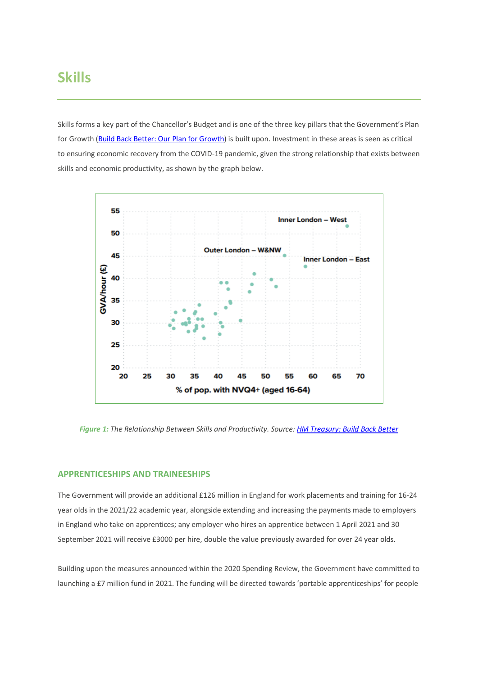Skills forms a key part of the Chancellor's Budget and is one of the three key pillars that the Government's Plan for Growth [\(Build Back Better: Our Plan for Growth\)](https://assets.publishing.service.gov.uk/government/uploads/system/uploads/attachment_data/file/966176/Plan_for_Growth_Web_accessible.pdf) is built upon. Investment in these areas is seen as critical to ensuring economic recovery from the COVID-19 pandemic, given the strong relationship that exists between skills and economic productivity, as shown by the graph below.



*Figure 1: The Relationship Between Skills and Productivity. Source[: HM Treasury: Build Back Better](https://assets.publishing.service.gov.uk/government/uploads/system/uploads/attachment_data/file/966176/Plan_for_Growth_Web_accessible.pdf)*

#### **APPRENTICESHIPS AND TRAINEESHIPS**

The Government will provide an additional £126 million in England for work placements and training for 16-24 year olds in the 2021/22 academic year, alongside extending and increasing the payments made to employers in England who take on apprentices; any employer who hires an apprentice between 1 April 2021 and 30 September 2021 will receive £3000 per hire, double the value previously awarded for over 24 year olds.

Building upon the measures announced within the 2020 Spending Review, the Government have committed to launching a £7 million fund in 2021. The funding will be directed towards 'portable apprenticeships' for people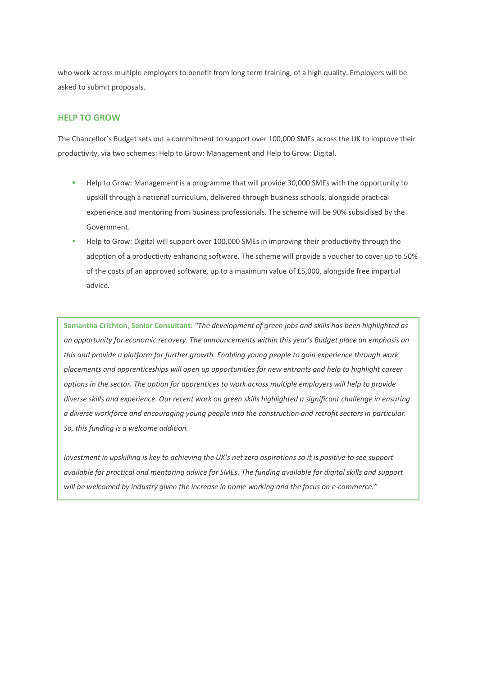who work across multiple employers to benefit from long term training, of a high quality. Employers will be asked to submit proposals.

#### **HELP TO GROW**

The Chancellor's Budget sets out a commitment to support over 100,000 SMEs across the UK to improve their productivity, via two schemes: Help to Grow: Management and Help to Grow: Digital.

- Help to Grow: Management is a programme that will provide 30,000 SMEs with the opportunity to upskill through a national curriculum, delivered through business schools, alongside practical experience and mentoring from business professionals. The scheme will be 90% subsidised by the Government.
- Help to Grow: Digital will support over 100,000 SMEs in improving their productivity through the adoption of a productivity enhancing software. The scheme will provide a voucher to cover up to 50% of the costs of an approved software, up to a maximum value of £5,000, alongside free impartial advice.

**Samantha Crichton, Senior Consultant:** *"The development of green jobs and skills has been highlighted as an opportunity for economic recovery. The announcements within this year's Budget place an emphasis on this and provide a platform for further growth. Enabling young people to gain experience through work placements and apprenticeships will open up opportunities for new entrants and help to highlight career options in the sector. The option for apprentices to work across multiple employers will help to provide diverse skills and experience. Our recent work on green skills highlighted a significant challenge in ensuring a diverse workforce and encouraging young people into the construction and retrofit sectors in particular. So, this funding is a welcome addition.* 

*Investment in upskilling is key to achieving the UK's net zero aspirations so it is positive to see support available for practical and mentoring advice for SMEs. The funding available for digital skills and support will be welcomed by industry given the increase in home working and the focus on e-commerce."*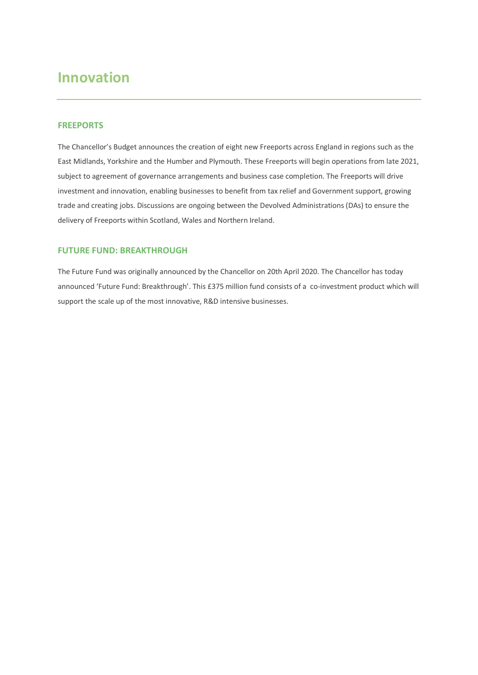### **Innovation**

#### **FREEPORTS**

The Chancellor's Budget announces the creation of eight new Freeports across England in regions such as the East Midlands, Yorkshire and the Humber and Plymouth. These Freeports will begin operations from late 2021, subject to agreement of governance arrangements and business case completion. The Freeports will drive investment and innovation, enabling businesses to benefit from tax relief and Government support, growing trade and creating jobs. Discussions are ongoing between the Devolved Administrations (DAs) to ensure the delivery of Freeports within Scotland, Wales and Northern Ireland.

#### **FUTURE FUND: BREAKTHROUGH**

The Future Fund was originally announced by the Chancellor on 20th April 2020. The Chancellor has today announced 'Future Fund: Breakthrough'. This £375 million fund consists of a co-investment product which will support the scale up of the most innovative, R&D intensive businesses.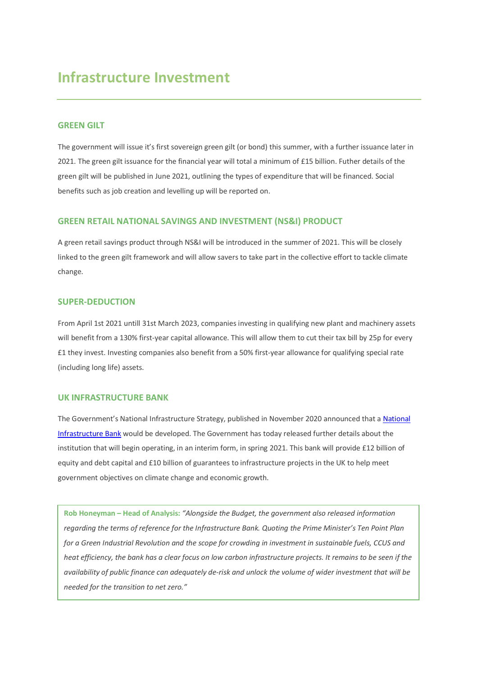### **Infrastructure Investment**

#### **GREEN GILT**

The government will issue it's first sovereign green gilt (or bond) this summer, with a further issuance later in 2021. The green gilt issuance for the financial year will total a minimum of £15 billion. Futher details of the green gilt will be published in June 2021, outlining the types of expenditure that will be financed. Social benefits such as job creation and levelling up will be reported on.

#### **GREEN RETAIL NATIONAL SAVINGS AND INVESTMENT (NS&I) PRODUCT**

A green retail savings product through NS&I will be introduced in the summer of 2021. This will be closely linked to the green gilt framework and will allow savers to take part in the collective effort to tackle climate change.

#### **SUPER-DEDUCTION**

From April 1st 2021 untill 31st March 2023, companies investing in qualifying new plant and machinery assets will benefit from a 130% first-year capital allowance. This will allow them to cut their tax bill by 25p for every £1 they invest. Investing companies also benefit from a 50% first-year allowance for qualifying special rate (including long life) assets.

#### **UK INFRASTRUCTURE BANK**

The Government's National Infrastructure Strategy, published in November 2020 announced that a [National](https://www.gov.uk/government/publications/policy-design-of-the-uk-infrastructure-bank)  [Infrastructure Bank](https://www.gov.uk/government/publications/policy-design-of-the-uk-infrastructure-bank) would be developed. The Government has today released further details about the institution that will begin operating, in an interim form, in spring 2021. This bank will provide £12 billion of equity and debt capital and £10 billion of guarantees to infrastructure projects in the UK to help meet government objectives on climate change and economic growth.

**Rob Honeyman – Head of Analysis:** *"Alongside the Budget, the government also released information regarding the terms of reference for the Infrastructure Bank. Quoting the Prime Minister's Ten Point Plan for a Green Industrial Revolution and the scope for crowding in investment in sustainable fuels, CCUS and heat efficiency, the bank has a clear focus on low carbon infrastructure projects. It remains to be seen if the availability of public finance can adequately de-risk and unlock the volume of wider investment that will be needed for the transition to net zero."*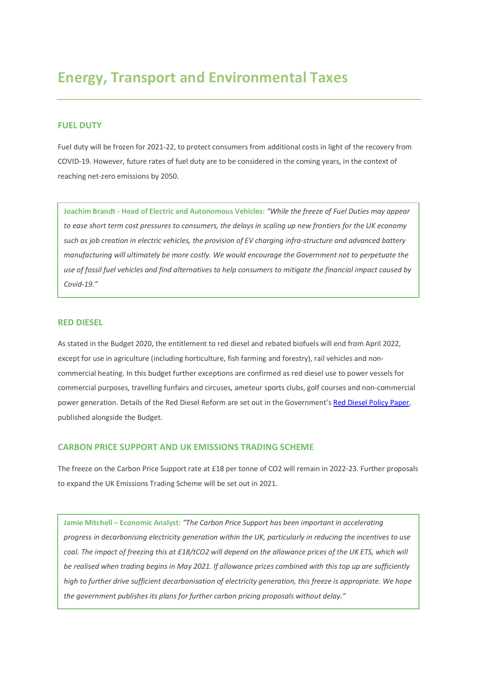### **Energy, Transport and Environmental Taxes**

#### **FUEL DUTY**

Fuel duty will be frozen for 2021-22, to protect consumers from additional costs in light of the recovery from COVID-19. However, future rates of fuel duty are to be considered in the coming years, in the context of reaching net-zero emissions by 2050.

**Joachim Brandt - Head of Electric and Autonomous Vehicles:** *"While the freeze of Fuel Duties may appear to ease short term cost pressures to consumers, the delays in scaling up new frontiers for the UK economy such as job creation in electric vehicles, the provision of EV charging infra-structure and advanced battery manufacturing will ultimately be more costly. We would encourage the Government not to perpetuate the use of fossil fuel vehicles and find alternatives to help consumers to mitigate the financial impact caused by Covid-19."*

#### **RED DIESEL**

As stated in the Budget 2020, the entitlement to red diesel and rebated biofuels will end from April 2022, except for use in agriculture (including horticulture, fish farming and forestry), rail vehicles and noncommercial heating. In this budget further exceptions are confirmed as red diesel use to power vessels for commercial purposes, travelling funfairs and circuses, ameteur sports clubs, golf courses and non-commercial power generation. Details of the Red Diesel Reform are set out in the Government'[s Red Diesel Policy Paper,](https://www.gov.uk/government/publications/reform-of-red-diesel-entitlements/reform-of-red-diesel-and-other-rebated-fuels-entitlement) published alongside the Budget.

#### **CARBON PRICE SUPPORT AND UK EMISSIONS TRADING SCHEME**

The freeze on the Carbon Price Support rate at £18 per tonne of CO2 will remain in 2022-23. Further proposals to expand the UK Emissions Trading Scheme will be set out in 2021.

**Jamie Mitchell – Economic Analyst:** *"The Carbon Price Support has been important in accelerating progress in decarbonising electricity generation within the UK, particularly in reducing the incentives to use coal. The impact of freezing this at £18/tCO2 will depend on the allowance prices of the UK ETS, which will be realised when trading begins in May 2021. If allowance prices combined with this top up are sufficiently high to further drive sufficient decarbonisation of electricity generation, this freeze is appropriate. We hope the government publishes its plans for further carbon pricing proposals without delay."*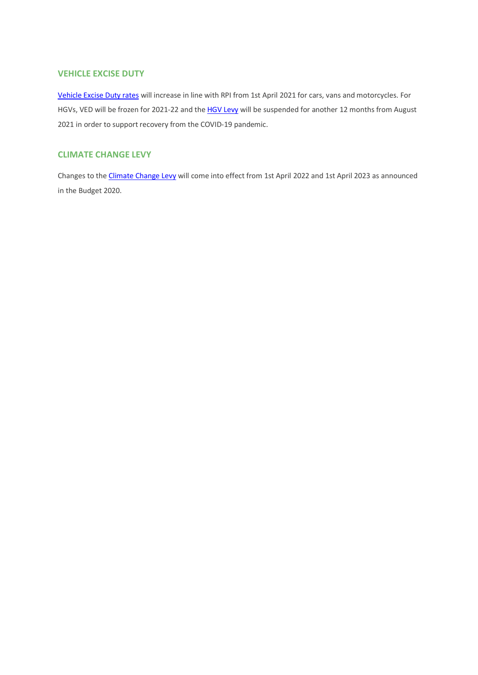#### **VEHICLE EXCISE DUTY**

[Vehicle Excise Duty rates](https://www.gov.uk/government/publications/vehicle-excise-duty-rates-for-cars-vans-motorcycles-and-trade-licences-from-april-2021) will increase in line with RPI from 1st April 2021 for cars, vans and motorcycles. For HGVs, VED will be frozen for 2021-22 and th[e HGV Levy](https://www.gov.uk/government/publications/heavy-goods-vehicle-levy-suspension) will be suspended for another 12 months from August 2021 in order to support recovery from the COVID-19 pandemic.

#### **CLIMATE CHANGE LEVY**

Changes to th[e Climate Change Levy](https://www.gov.uk/government/publications/changes-to-rates-for-the-climate-change-levy-for-2022-to-2023-and-2023-to-2024/changes-to-rates-for-the-climate-change-levy-for-2022-to-2023-and-2023-to-2024) will come into effect from 1st April 2022 and 1st April 2023 as announced in the Budget 2020.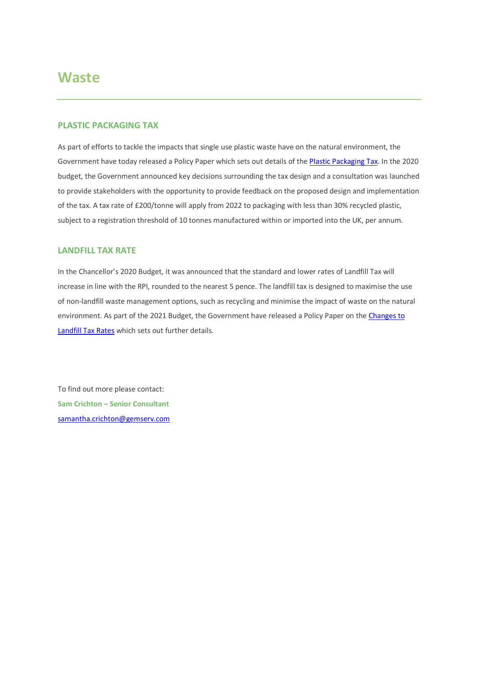### **Waste**

#### **PLASTIC PACKAGING TAX**

As part of efforts to tackle the impacts that single use plastic waste have on the natural environment, the Government have today released a Policy Paper which sets out details of the **Plastic Packaging Tax**. In the 2020 budget, the Government announced key decisions surrounding the tax design and a consultation was launched to provide stakeholders with the opportunity to provide feedback on the proposed design and implementation of the tax. A tax rate of £200/tonne will apply from 2022 to packaging with less than 30% recycled plastic, subject to a registration threshold of 10 tonnes manufactured within or imported into the UK, per annum.

#### **LANDFILL TAX RATE**

In the Chancellor's 2020 Budget, it was announced that the standard and lower rates of Landfill Tax will increase in line with the RPI, rounded to the nearest 5 pence. The landfill tax is designed to maximise the use of non-landfill waste management options, such as recycling and minimise the impact of waste on the natural environment. As part of the 2021 Budget, the Government have released a Policy Paper on the Changes to [Landfill Tax Rates](https://www.gov.uk/government/publications/changes-to-landfill-tax-rates-from-1-april-2021/changes-to-landfill-tax-rates-from-1-april-2021) which sets out further details.

To find out more please contact: **Sam Crichton – Senior Consultant** [samantha.crichton@gemserv.com](mailto:samantha.crichton@gemserv.com)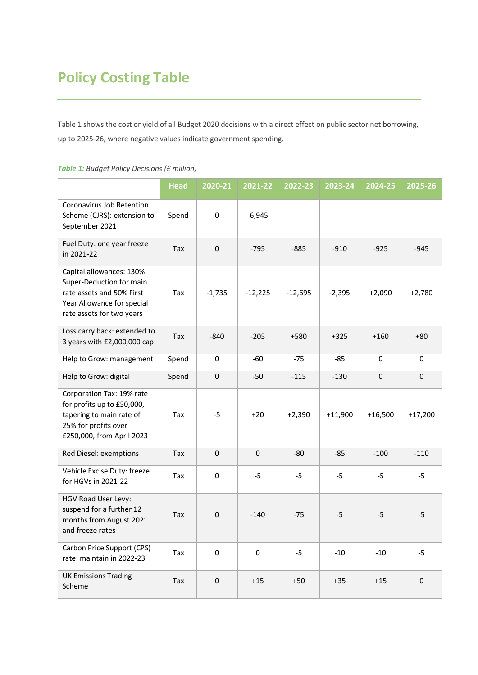### **Policy Costing Table**

Table 1 shows the cost or yield of all Budget 2020 decisions with a direct effect on public sector net borrowing, up to 2025-26, where negative values indicate government spending.

|                                                                                                                                              | <b>Head</b> | 2020-21     | 2021-22     | 2022-23   | 2023-24   | 2024-25   | 2025-26     |
|----------------------------------------------------------------------------------------------------------------------------------------------|-------------|-------------|-------------|-----------|-----------|-----------|-------------|
| Coronavirus Job Retention<br>Scheme (CJRS): extension to<br>September 2021                                                                   | Spend       | $\mathbf 0$ | $-6,945$    |           |           |           |             |
| Fuel Duty: one year freeze<br>in 2021-22                                                                                                     | Tax         | $\mathbf 0$ | $-795$      | $-885$    | $-910$    | $-925$    | $-945$      |
| Capital allowances: 130%<br>Super-Deduction for main<br>rate assets and 50% First<br>Year Allowance for special<br>rate assets for two years | Tax         | $-1,735$    | $-12,225$   | $-12,695$ | $-2,395$  | $+2,090$  | $+2,780$    |
| Loss carry back: extended to<br>3 years with £2,000,000 cap                                                                                  | Tax         | $-840$      | $-205$      | $+580$    | $+325$    | $+160$    | $+80$       |
| Help to Grow: management                                                                                                                     | Spend       | 0           | $-60$       | $-75$     | $-85$     | 0         | 0           |
| Help to Grow: digital                                                                                                                        | Spend       | $\mathbf 0$ | $-50$       | $-115$    | $-130$    | 0         | $\mathbf 0$ |
| Corporation Tax: 19% rate<br>for profits up to £50,000,<br>tapering to main rate of<br>25% for profits over<br>£250,000, from April 2023     | Tax         | $-5$        | $+20$       | $+2,390$  | $+11,900$ | $+16,500$ | $+17,200$   |
| Red Diesel: exemptions                                                                                                                       | Tax         | $\pmb{0}$   | $\mathbf 0$ | $-80$     | $-85$     | $-100$    | $-110$      |
| Vehicle Excise Duty: freeze<br>for HGVs in 2021-22                                                                                           | Tax         | $\pmb{0}$   | $-5$        | $-5$      | $-5$      | $-5$      | $-5$        |
| HGV Road User Levy:<br>suspend for a further 12<br>months from August 2021<br>and freeze rates                                               | Tax         | $\mathbf 0$ | $-140$      | $-75$     | $-5$      | $-5$      | $-5$        |
| Carbon Price Support (CPS)<br>rate: maintain in 2022-23                                                                                      | Tax         | $\pmb{0}$   | 0           | $-5$      | $-10$     | $-10$     | $-5$        |
| <b>UK Emissions Trading</b><br>Scheme                                                                                                        | Tax         | $\mathbf 0$ | $+15$       | $+50$     | $+35$     | $+15$     | 0           |

#### *Table 1: Budget Policy Decisions (£ million)*